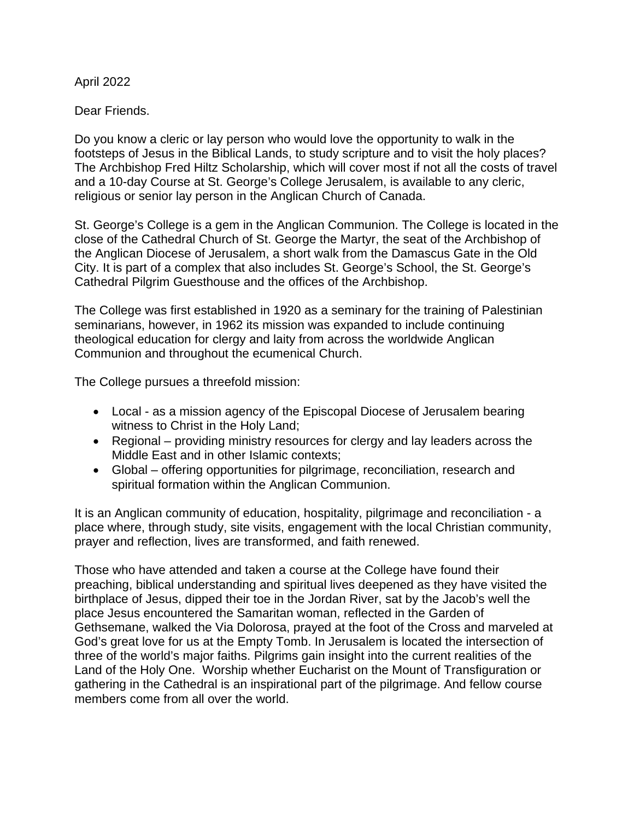April 2022

Dear Friends.

Do you know a cleric or lay person who would love the opportunity to walk in the footsteps of Jesus in the Biblical Lands, to study scripture and to visit the holy places? The Archbishop Fred Hiltz Scholarship, which will cover most if not all the costs of travel and a 10-day Course at St. George's College Jerusalem, is available to any cleric, religious or senior lay person in the Anglican Church of Canada.

St. George's College is a gem in the Anglican Communion. The College is located in the close of the Cathedral Church of St. George the Martyr, the seat of the Archbishop of the Anglican Diocese of Jerusalem, a short walk from the Damascus Gate in the Old City. It is part of a complex that also includes St. George's School, the St. George's Cathedral Pilgrim Guesthouse and the offices of the Archbishop.

The College was first established in 1920 as a seminary for the training of Palestinian seminarians, however, in 1962 its mission was expanded to include continuing theological education for clergy and laity from across the worldwide Anglican Communion and throughout the ecumenical Church.

The College pursues a threefold mission:

- Local as a mission agency of the Episcopal Diocese of Jerusalem bearing witness to Christ in the Holy Land;
- Regional providing ministry resources for clergy and lay leaders across the Middle East and in other Islamic contexts;
- Global offering opportunities for pilgrimage, reconciliation, research and spiritual formation within the Anglican Communion.

It is an Anglican community of education, hospitality, pilgrimage and reconciliation - a place where, through study, site visits, engagement with the local Christian community, prayer and reflection, lives are transformed, and faith renewed.

Those who have attended and taken a course at the College have found their preaching, biblical understanding and spiritual lives deepened as they have visited the birthplace of Jesus, dipped their toe in the Jordan River, sat by the Jacob's well the place Jesus encountered the Samaritan woman, reflected in the Garden of Gethsemane, walked the Via Dolorosa, prayed at the foot of the Cross and marveled at God's great love for us at the Empty Tomb. In Jerusalem is located the intersection of three of the world's major faiths. Pilgrims gain insight into the current realities of the Land of the Holy One. Worship whether Eucharist on the Mount of Transfiguration or gathering in the Cathedral is an inspirational part of the pilgrimage. And fellow course members come from all over the world.